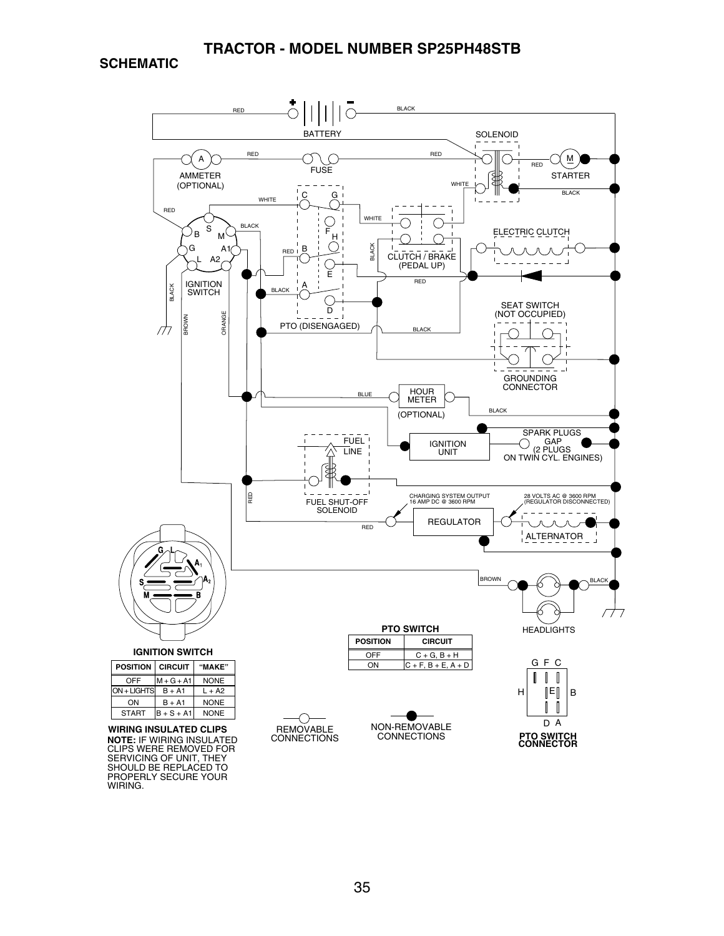**SCHEMATIC**

WIRING.

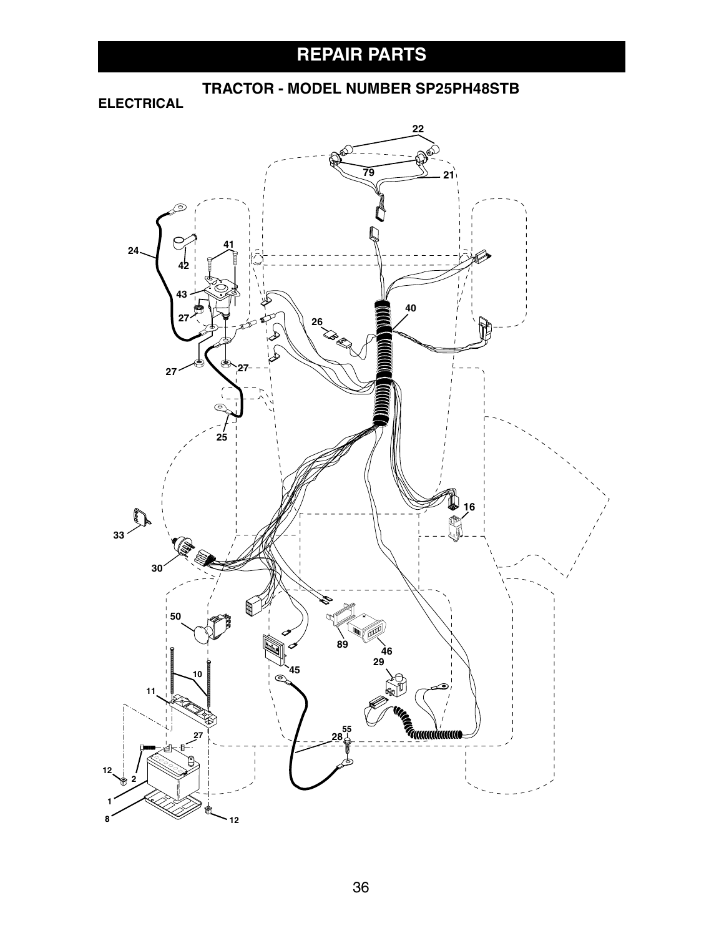# **REPAIR PARTS**

**TRACTOR - MODEL NUMBER SP25PH48STB**

**ELECTRICAL**

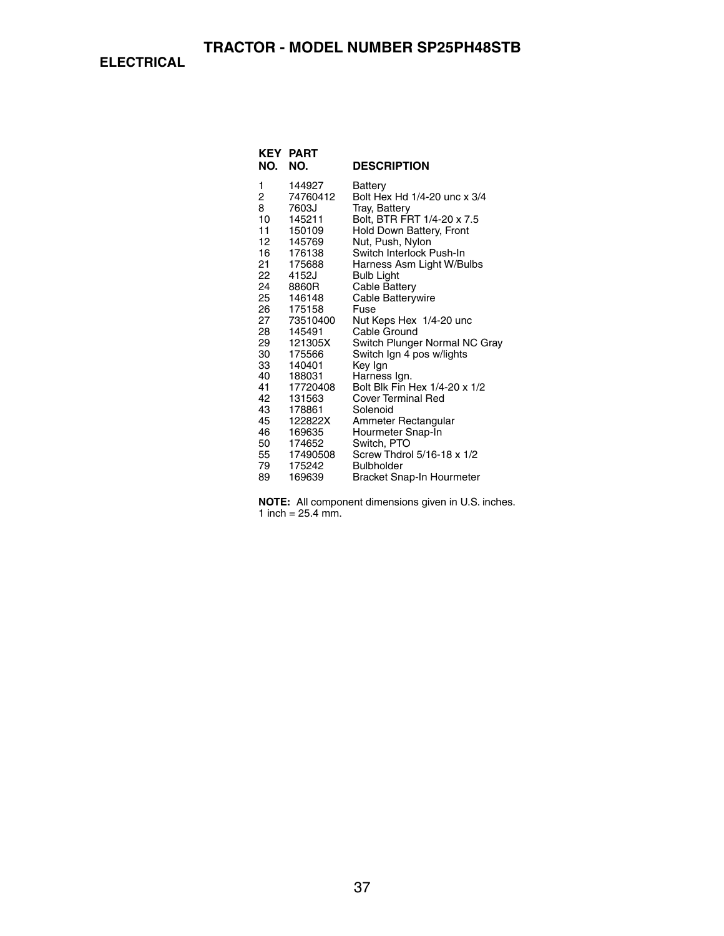**ELECTRICAL**

| <b>KEY</b><br>NO. | PART<br>NO.      | <b>DESCRIPTION</b>                           |
|-------------------|------------------|----------------------------------------------|
|                   |                  |                                              |
| 1                 | 144927           | Battery                                      |
| 2                 | 74760412         | Bolt Hex Hd 1/4-20 unc x 3/4                 |
| 8                 | 7603J            | Tray, Battery                                |
| 10<br>11          | 145211<br>150109 | Bolt, BTR FRT 1/4-20 x 7.5                   |
| 12                | 145769           | Hold Down Battery, Front<br>Nut, Push, Nylon |
| 16 —              | 176138           | Switch Interlock Push-In                     |
| 21                | 175688           | Harness Asm Light W/Bulbs                    |
| 22                | 4152J            | <b>Bulb Light</b>                            |
| 24                | 8860R            | Cable Battery                                |
| 25                | 146148           | Cable Batterywire                            |
| 26                | 175158           | Fuse                                         |
| 27                | 73510400         | Nut Keps Hex 1/4-20 unc                      |
| 28                | 145491           | Cable Ground                                 |
| 29                | 121305X          | Switch Plunger Normal NC Gray                |
| 30                | 175566           | Switch Ign 4 pos w/lights                    |
| 33<br>40          | 140401<br>188031 | Key Ign<br>Harness Ign.                      |
| 41                | 17720408         | Bolt Blk Fin Hex 1/4-20 x 1/2                |
| 42                | 131563           | <b>Cover Terminal Red</b>                    |
| 43                | 178861           | Solenoid                                     |
| 45                | 122822X          | Ammeter Rectangular                          |
| 46                | 169635           | Hourmeter Snap-In                            |
| 50                | 174652           | Switch, PTO                                  |
| 55 —              | 17490508         | Screw Thdrol 5/16-18 x 1/2                   |
| 79                | 175242           | <b>Bulbholder</b>                            |
| 89                | 169639           | Bracket Snap-In Hourmeter                    |

**NOTE:** All component dimensions given in U.S. inches. 1 inch =  $25.4$  mm.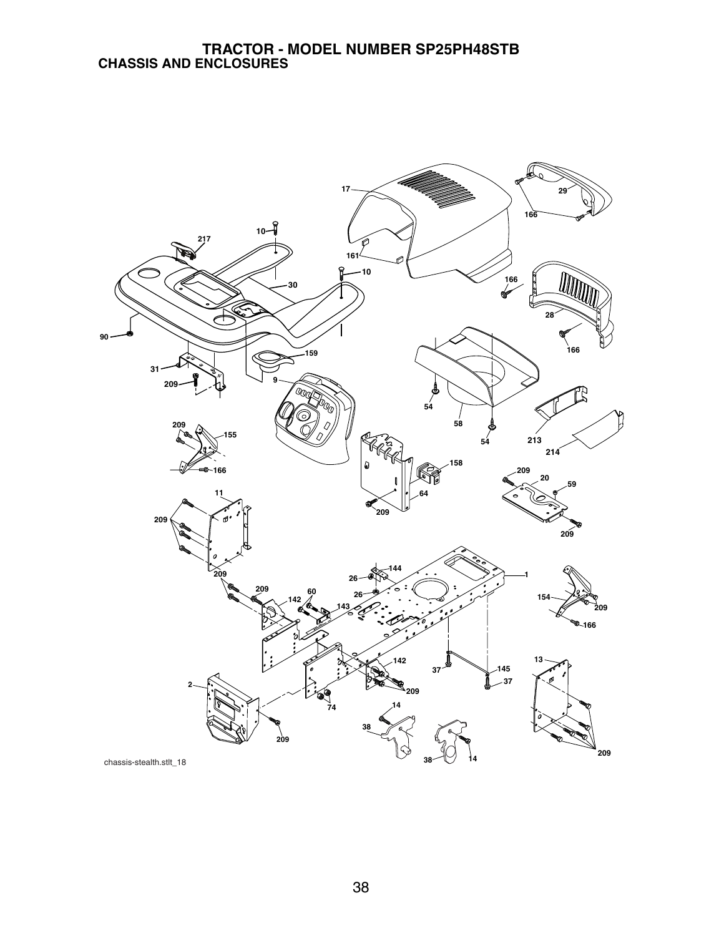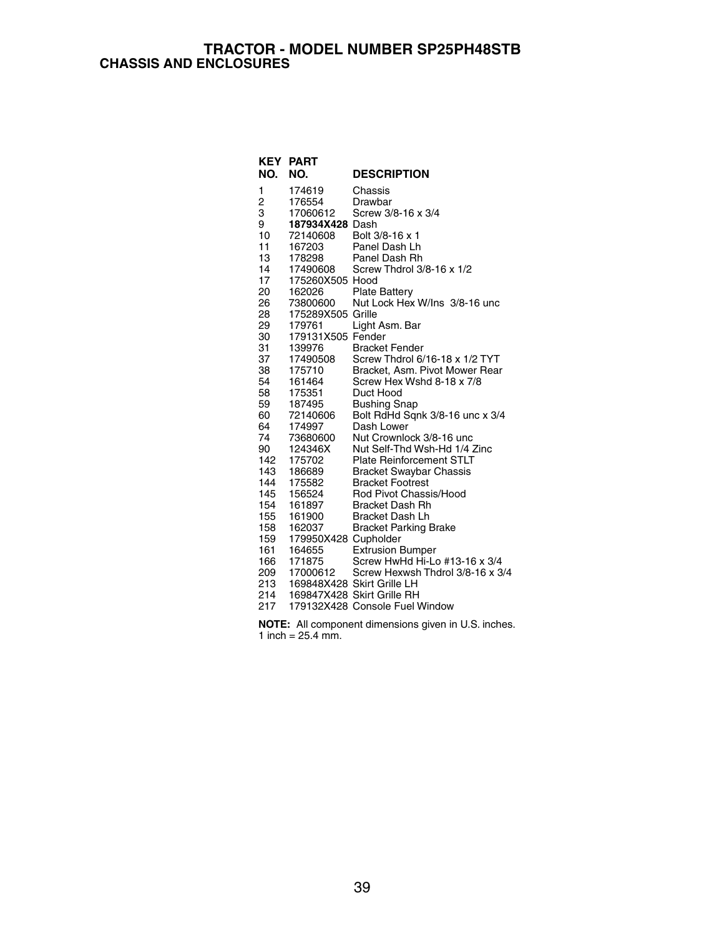#### **TRACTOR - MODEL NUMBER SP25PH48STB CHASSIS AND ENCLOSURES**

|          | <b>KEY PART</b>      |                                                        |
|----------|----------------------|--------------------------------------------------------|
| NO.      | NO.                  | <b>DESCRIPTION</b>                                     |
| 1        | 174619               | Chassis                                                |
| 2        | 176554               | Drawbar                                                |
| 3        | 17060612             | Screw 3/8-16 x 3/4                                     |
| 9        | 187934X428 Dash      |                                                        |
| 10       | 72140608             | Bolt 3/8-16 x 1                                        |
| 11       | 167203               | Panel Dash Lh                                          |
| 13       | 178298               | Panel Dash Rh                                          |
| 14       | 17490608             | Screw Thdrol 3/8-16 x 1/2                              |
| 17       | 175260X505 Hood      |                                                        |
| 20       | 162026               | <b>Plate Battery</b>                                   |
| 26       | 73800600             | Nut Lock Hex W/Ins 3/8-16 unc                          |
| 28       | 175289X505 Grille    |                                                        |
| 29       | 179761               | Light Asm. Bar                                         |
| 30       | 179131X505 Fender    |                                                        |
| 31       | 139976               | <b>Bracket Fender</b>                                  |
| 37       | 17490508             | Screw Thdrol 6/16-18 x 1/2 TYT                         |
| 38       | 175710               | Bracket, Asm. Pivot Mower Rear                         |
| 54<br>58 | 161464<br>175351     | Screw Hex Wshd 8-18 x 7/8<br>Duct Hood                 |
| 59       | 187495               |                                                        |
| 60       | 72140606             | <b>Bushing Snap</b><br>Bolt RdHd Sqnk 3/8-16 unc x 3/4 |
| 64       | 174997               | Dash Lower                                             |
| 74       | 73680600             | Nut Crownlock 3/8-16 unc                               |
| 90       | 124346X              | Nut Self-Thd Wsh-Hd 1/4 Zinc                           |
| 142      | 175702               | <b>Plate Reinforcement STLT</b>                        |
| 143      | 186689               | <b>Bracket Swaybar Chassis</b>                         |
| 144      | 175582               | <b>Bracket Footrest</b>                                |
| 145      | 156524               | Rod Pivot Chassis/Hood                                 |
| 154      | 161897               | <b>Bracket Dash Rh</b>                                 |
| 155      | 161900               | <b>Bracket Dash Lh</b>                                 |
| 158      | 162037               | <b>Bracket Parking Brake</b>                           |
| 159      | 179950X428 Cupholder |                                                        |
| 161      | 164655               | <b>Extrusion Bumper</b>                                |
| 166      | 171875               | Screw HwHd Hi-Lo #13-16 x 3/4                          |
| 209      | 17000612             | Screw Hexwsh Thdrol 3/8-16 x 3/4                       |
|          |                      | 213 169848X428 Skirt Grille LH                         |
| 214      |                      | 169847X428 Skirt Grille RH                             |
| 217      |                      | 179132X428 Console Fuel Window                         |

**NOTE:** All component dimensions given in U.S. inches. 1 inch =  $25.4$  mm.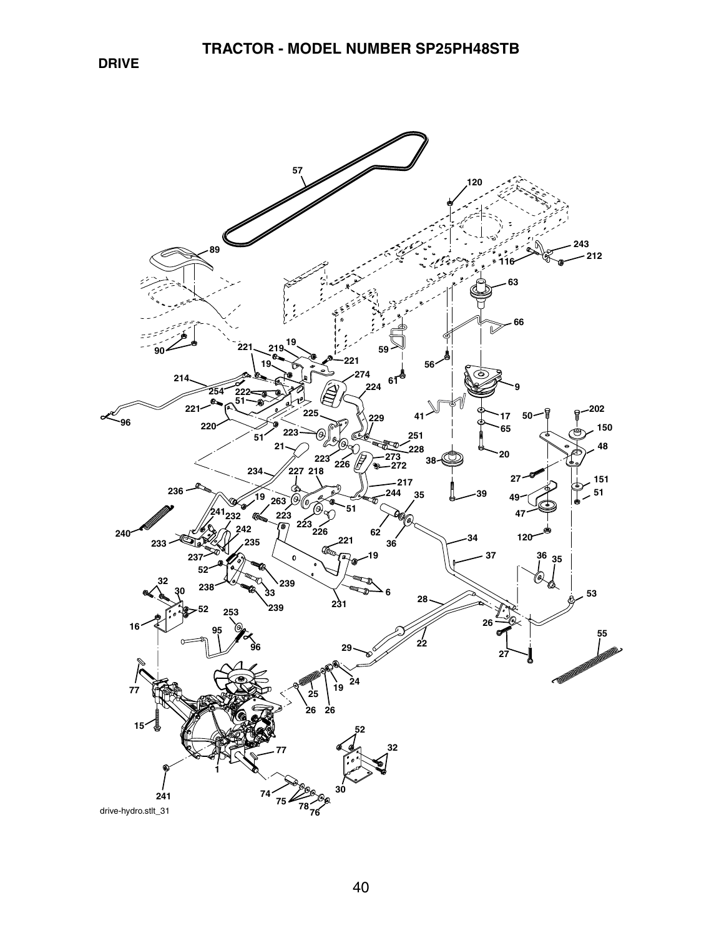**DRIVE**

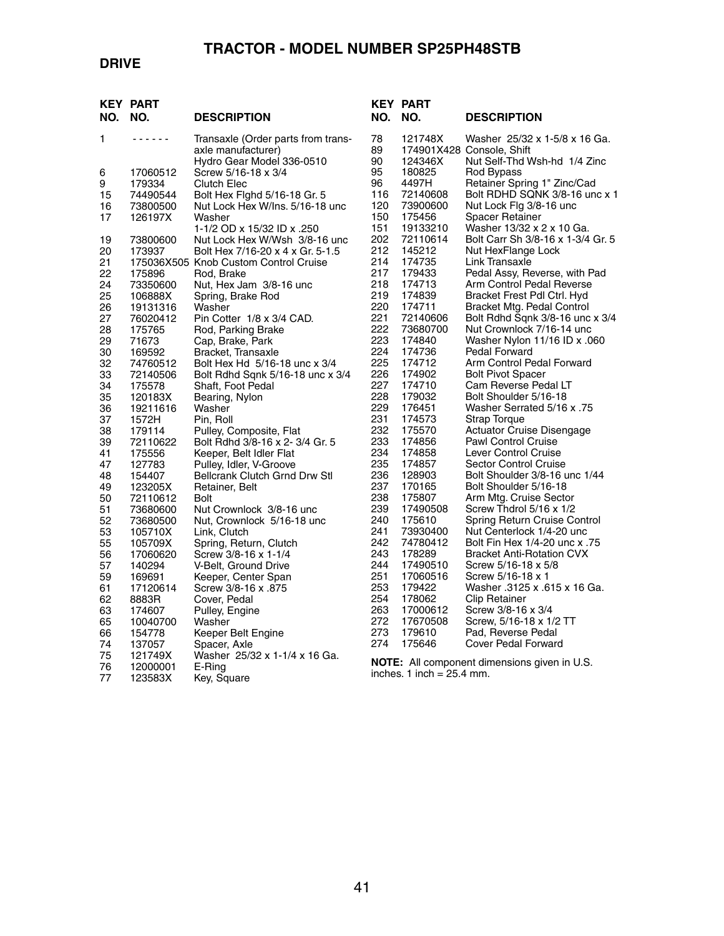### **DRIVE**

| NO.      | <b>KEY PART</b><br>NO. | <b>DESCRIPTION</b>                                                                    |
|----------|------------------------|---------------------------------------------------------------------------------------|
| 1        | $  -$                  | Transaxle (Order parts from trans-<br>axle manufacturer)<br>Hydro Gear Model 336-0510 |
| 6        | 17060512               | Screw 5/16-18 x 3/4                                                                   |
| 9        | 179334                 | Clutch Elec                                                                           |
| 15       | 74490544               | Bolt Hex Fighd 5/16-18 Gr. 5                                                          |
| 16<br>17 | 73800500<br>126197X    | Nut Lock Hex W/Ins. 5/16-18 unc<br>Washer                                             |
|          |                        | 1-1/2 OD x 15/32 ID x .250                                                            |
| 19       | 73800600               | Nut Lock Hex W/Wsh 3/8-16 unc                                                         |
| 20       | 173937                 | Bolt Hex 7/16-20 x 4 x Gr. 5-1.5                                                      |
| 21       |                        | 175036X505 Knob Custom Control Cruise                                                 |
| 22       | 175896                 | Rod, Brake                                                                            |
| 24<br>25 | 73350600<br>106888X    | Nut, Hex Jam 3/8-16 unc<br>Spring, Brake Rod                                          |
| 26       | 19131316               | Washer                                                                                |
| 27       | 76020412               | Pin Cotter 1/8 x 3/4 CAD.                                                             |
| 28       | 175765                 | Rod, Parking Brake                                                                    |
| 29       | 71673                  | Cap, Brake, Park                                                                      |
| 30<br>32 | 169592                 | Bracket, Transaxle<br>Bolt Hex Hd 5/16-18 unc x 3/4                                   |
| 33       | 74760512<br>72140506   | Bolt Rdhd Sqnk 5/16-18 unc x 3/4                                                      |
| 34       | 175578                 | Shaft, Foot Pedal                                                                     |
| 35       | 120183X                | Bearing, Nylon                                                                        |
| 36       | 19211616               | Washer                                                                                |
| 37       | 1572H                  | Pin, Roll                                                                             |
| 38       | 179114                 | Pulley, Composite, Flat                                                               |
| 39<br>41 | 72110622<br>175556     | Bolt Rdhd 3/8-16 x 2- 3/4 Gr. 5<br>Keeper, Belt Idler Flat                            |
| 47       | 127783                 | Pulley, Idler, V-Groove                                                               |
| 48       | 154407                 | <b>Bellcrank Clutch Grnd Drw Stl</b>                                                  |
| 49       | 123205X                | Retainer, Belt                                                                        |
| 50       | 72110612               | Bolt                                                                                  |
| 51<br>52 | 73680600               | Nut Crownlock 3/8-16 unc                                                              |
| 53       | 73680500<br>105710X    | Nut, Crownlock 5/16-18 unc<br>Link, Clutch                                            |
| 55       | 105709X                | Spring, Return, Clutch                                                                |
| 56       | 17060620               | Screw 3/8-16 x 1-1/4                                                                  |
| 57       | 140294                 | V-Belt, Ground Drive                                                                  |
| 59       | 169691                 | Keeper, Center Span                                                                   |
| 61<br>62 | 17120614               | Screw 3/8-16 x .875<br>Cover, Pedal                                                   |
| 63       | 8883R<br>174607        | Pulley, Engine                                                                        |
| 65       | 10040700               | Washer                                                                                |
| 66       | 154778                 | Keeper Belt Engine                                                                    |
| 74       | 137057                 | Spacer, Axle                                                                          |
| 75       | 121749X                | Washer  25/32 x 1-1/4 x 16 Ga.                                                        |
| 76<br>77 | 12000001<br>123583X    | E-Ring<br>Key, Square                                                                 |
|          |                        |                                                                                       |

| KEY<br>NO.     | PART<br>NO.          | <b>DESCRIPTION</b>                                                                         |
|----------------|----------------------|--------------------------------------------------------------------------------------------|
| 78<br>89<br>90 | 121748X<br>124346X   | Washer 25/32 x 1-5/8 x 16 Ga.<br>174901X428 Console, Shift<br>Nut Self-Thd Wsh-hd 1/4 Zinc |
| 95             | 180825               | Rod Bypass                                                                                 |
| 96<br>116      | 4497H<br>72140608    | Retainer Spring 1" Zinc/Cad<br>Bolt RDHD SQNK 3/8-16 unc x 1                               |
| 120            | 73900600             | Nut Lock Flg 3/8-16 unc                                                                    |
| 150            | 175456               | Spacer Retainer                                                                            |
| 151<br>202     | 19133210<br>72110614 | Washer 13/32 x 2 x 10 Ga.<br>Bolt Carr Sh 3/8-16 x 1-3/4 Gr. 5                             |
| 212            | 145212               | Nut HexFlange Lock                                                                         |
| 214            | 174735               | Link Transaxle                                                                             |
| 217            | 179433               | Pedal Assy, Reverse, with Pad                                                              |
| 218<br>219     | 174713<br>174839     | Arm Control Pedal Reverse<br>Bracket Frest Pdl Ctrl. Hyd                                   |
| 220            | 174711               | Bracket Mtg. Pedal Control                                                                 |
| 221            | 72140606             | Bolt Rdhd Sqnk 3/8-16 unc x 3/4                                                            |
| 222            | 73680700             | Nut Crownlock 7/16-14 unc                                                                  |
| 223<br>224     | 174840<br>174736     | 060. Washer Nylon 11/16 ID x<br>Pedal Forward                                              |
| 225            | 174712               | Arm Control Pedal Forward                                                                  |
| 226            | 174902               | <b>Bolt Pivot Spacer</b>                                                                   |
| 227            | 174710               | Cam Reverse Pedal LT                                                                       |
| 228            | 179032               | Bolt Shoulder 5/16-18                                                                      |
| 229<br>231     | 176451<br>174573     | 75. Washer Serrated 5/16 x<br>Strap Torque                                                 |
| 232            | 175570               | Actuator Cruise Disengage                                                                  |
| 233            | 174856               | <b>Pawl Control Cruise</b>                                                                 |
| 234            | 174858               | Lever Control Cruise                                                                       |
| 235            | 174857               | <b>Sector Control Cruise</b><br>Bolt Shoulder 3/8-16 unc 1/44                              |
| 236<br>237     | 128903<br>170165     | Bolt Shoulder 5/16-18                                                                      |
| 238            | 175807               | Arm Mtg. Cruise Sector                                                                     |
| 239            | 17490508             | Screw Thdrol 5/16 x 1/2                                                                    |
| 240            | 175610               | Spring Return Cruise Control                                                               |
| 241<br>242     | 73930400<br>74780412 | Nut Centerlock 1/4-20 unc<br>1/4-20 unc x .75                                              |
| 243            | 178289               | <b>Bracket Anti-Rotation CVX</b>                                                           |
| 244            | 17490510             | Screw 5/16-18 x 5/8                                                                        |
| 251            | 17060516             | Screw 5/16-18 x 1                                                                          |
| 253            | 179422               | Washer .3125 x .615 x 16 Ga.                                                               |
| 254<br>263     | 178062<br>17000612   | Clip Retainer<br>Screw 3/8-16 x 3/4                                                        |
| 272            | 17670508             | Screw, 5/16-18 x 1/2 TT                                                                    |
| 273            | 179610               | Pad. Reverse Pedal                                                                         |
| 274            | 175646               | Cover Pedal Forward                                                                        |

**NOTE:** All component dimensions given in U.S. inches. 1 inch = 25.4 mm.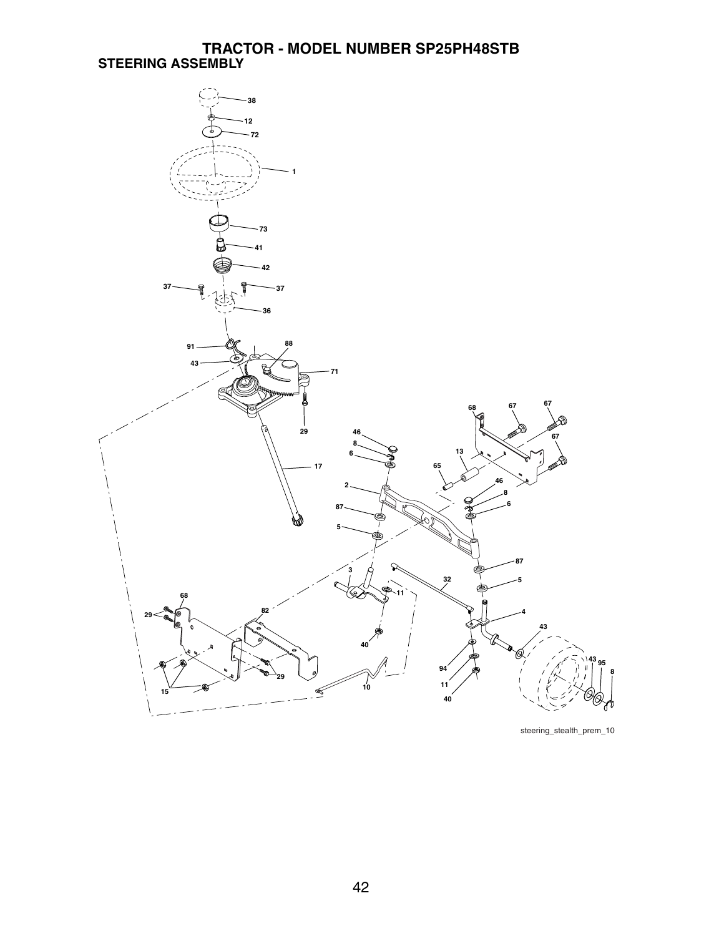#### **TRACTOR - MODEL NUMBER SP25PH48STB STEERING ASSEMBLY**



steering\_stealth\_prem\_10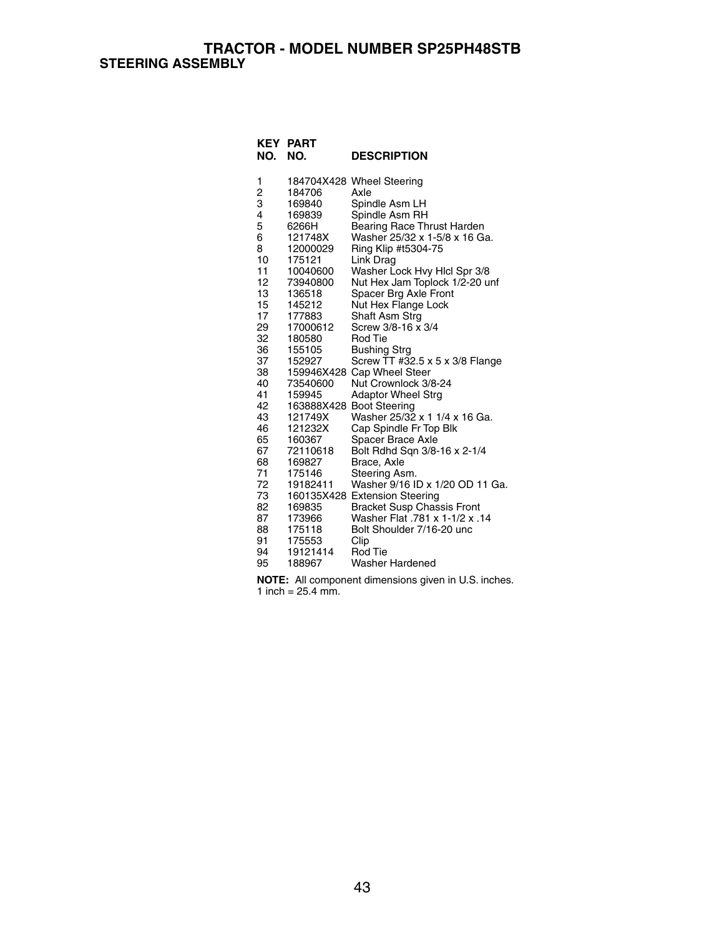#### **TRACTOR - MODEL NUMBER SP25PH48STB STEERING ASSEMBLY**

| NO.      | <b>KEY PART</b><br>NO. | <b>DESCRIPTION</b>                                             |
|----------|------------------------|----------------------------------------------------------------|
| 1        |                        | 184704X428 Wheel Steering                                      |
| 2<br>3   | 184706                 | Axle                                                           |
|          | 169840                 | Spindle Asm LH                                                 |
| 4        | 169839                 | Spindle Asm RH                                                 |
| 5        | 6266H                  | Bearing Race Thrust Harden                                     |
| 6        | 121748X                | Washer 25/32 x 1-5/8 x 16 Ga.                                  |
| 8        | 12000029               | Ring Klip #t5304-75                                            |
| 10<br>11 | 175121                 | Link Drag                                                      |
| 12       | 10040600<br>73940800   | Washer Lock Hvy Hicl Spr 3/8<br>Nut Hex Jam Toplock 1/2-20 unf |
| 13       | 136518                 | Spacer Brg Axle Front                                          |
| 15       | 145212                 | Nut Hex Flange Lock                                            |
| 17       | 177883                 | Shaft Asm Strg                                                 |
| 29       | 17000612               | Screw 3/8-16 x 3/4                                             |
| 32       | 180580                 | Rod Tie                                                        |
| 36       | 155105                 | <b>Bushing Strg</b>                                            |
| 37       | 152927                 | Screw TT #32.5 x 5 x 3/8 Flange                                |
| 38       |                        | 159946X428 Cap Wheel Steer                                     |
| 40       | 73540600               | Nut Crownlock 3/8-24                                           |
| 41       | 159945                 | <b>Adaptor Wheel Strg</b>                                      |
| 42       |                        | 163888X428 Boot Steering                                       |
| 43       | 121749X                | Washer 25/32 x 1 1/4 x 16 Ga.                                  |
| 46       | 121232X                | Cap Spindle Fr Top Blk                                         |
| 65       | 160367                 | Spacer Brace Axle                                              |
| 67       | 72110618               | Bolt Rdhd Sqn 3/8-16 x 2-1/4                                   |
| 68<br>71 | 169827<br>175146       | Brace, Axle                                                    |
| 72       |                        | Steering Asm.<br>Washer 9/16 ID x 1/20 OD 11 Ga.               |
| 73       | 19182411               | 160135X428 Extension Steering                                  |
| 82       | 169835                 | <b>Bracket Susp Chassis Front</b>                              |
| 87       | 173966                 | 14. Washer Flat .781 x 1-1/2 x .14                             |
| 88       | 175118                 | Bolt Shoulder 7/16-20 unc                                      |
| 91       | 175553                 | Clip                                                           |
| 94       | 19121414               | <b>Rod Tie</b>                                                 |
| 95       | 188967                 | Washer Hardened                                                |

**NOTE:** All component dimensions given in U.S. inches. 1 inch =  $25.4$  mm.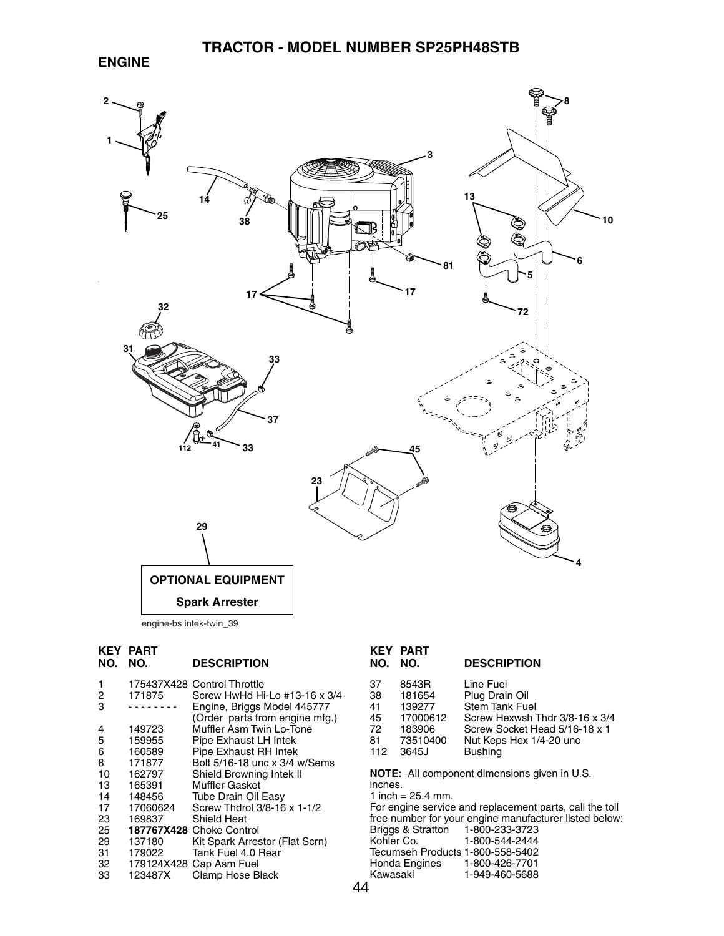

|     | <b>KEY PART</b> |
|-----|-----------------|
| הוח | הוח             |

### **NO. NO. DESCRIPTION**

| 1  |          | 175437X428 Control Throttle    |
|----|----------|--------------------------------|
| 2  | 171875   | Screw HwHd Hi-Lo #13-16 x 3/4  |
| 3  |          | Engine, Briggs Model 445777    |
|    |          | (Order parts from engine mfg.) |
| 4  | 149723   | Muffler Asm Twin Lo-Tone       |
| 5  | 159955   | Pipe Exhaust LH Intek          |
| 6  | 160589   | Pipe Exhaust RH Intek          |
| 8  | 171877   | Bolt 5/16-18 unc x 3/4 w/Sems  |
| 10 | 162797   | Shield Browning Intek II       |
| 13 | 165391   | <b>Muffler Gasket</b>          |
| 14 | 148456   | <b>Tube Drain Oil Easy</b>     |
| 17 | 17060624 | Screw Thdrol 3/8-16 x 1-1/2    |
| 23 | 169837   | Shield Heat                    |
| 25 |          | 187767X428 Choke Control       |
| 29 | 137180   | Kit Spark Arrestor (Flat Scrn) |
| 31 | 179022   | Tank Fuel 4.0 Rear             |
| 32 |          | 179124X428 Cap Asm Fuel        |
| 33 | 123487X  | Clamp Hose Black               |

| 13 L L<br>NO. | .<br>NO. | <b>DESCRIPTION</b>             |
|---------------|----------|--------------------------------|
| 37            | 8543R    | Line Fuel                      |
| 38            | 181654   | Plug Drain Oil                 |
| 41            | 139277   | <b>Stem Tank Fuel</b>          |
| 45            | 17000612 | Screw Hexwsh Thdr 3/8-16 x 3/4 |
| 72            | 183906   | Screw Socket Head 5/16-18 x 1  |
| 81            | 73510400 | Nut Keps Hex 1/4-20 unc        |
| 112           | 3645J    | <b>Bushing</b>                 |

**NOTE:** All component dimensions given in U.S. inches. 1 inch =  $25.4$  mm.

For engine service and replacement parts, call the toll free number for your engine manufacturer listed below: Briggs & Stratton 1-800-233-3723<br>Kohler Co. 1-800-544-2444 1-800-544-2444 Tecumseh Products 1-800-558-5402<br>Honda Engines 1-800-426-7701 Honda Engines<br>Kawasaki 1-949-460-5688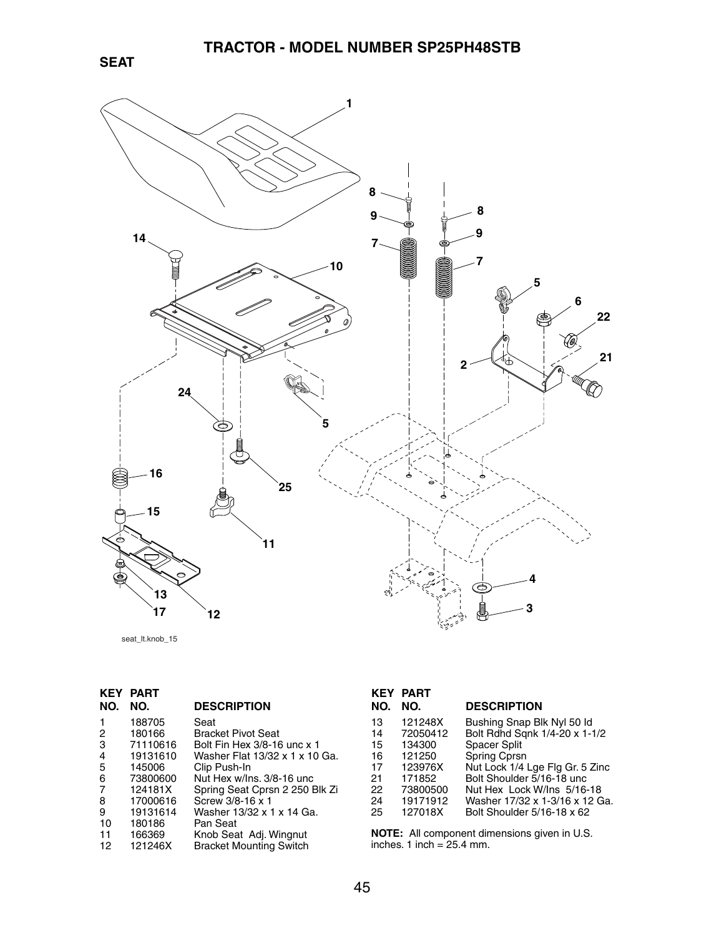



seat\_lt.knob\_15

|                | <b>KEY PART</b> |                                |
|----------------|-----------------|--------------------------------|
| NO.            | NO.             | <b>DESCRIPTION</b>             |
| 1              | 188705          | Seat                           |
| 2              | 180166          | <b>Bracket Pivot Seat</b>      |
| 3              | 71110616        | Bolt Fin Hex 3/8-16 unc x 1    |
| $\overline{4}$ | 19131610        | Washer Flat 13/32 x 1 x 10 Ga. |
| 5              | 145006          | Clip Push-In                   |
| 6              | 73800600        | Nut Hex w/Ins, 3/8-16 unc      |
| 7              | 124181X         | Spring Seat Cprsn 2 250 Blk Zi |
| 8              | 17000616        | Screw 3/8-16 x 1               |
| 9              | 19131614        | Washer 13/32 x 1 x 14 Ga.      |
| 10             | 180186          | Pan Seat                       |
| 11             | 166369          | Knob Seat Adj. Wingnut         |
| 12             | 121246X         | <b>Bracket Mounting Switch</b> |
|                |                 |                                |

|     | <b>KEY PART</b> |                                 |
|-----|-----------------|---------------------------------|
| NO. | NO.             | <b>DESCRIPTION</b>              |
| 13  | 121248X         | Bushing Snap Blk Nyl 50 Id      |
| 14  | 72050412        | Bolt Rdhd Sqnk 1/4-20 x 1-1/2   |
| 15  | 134300          | Spacer Split                    |
| 16  | 121250          | Spring Cprsn                    |
| 17  | 123976X         | Nut Lock 1/4 Lge Flg Gr. 5 Zinc |
| 21  | 171852          | Bolt Shoulder 5/16-18 unc       |
| 22  | 73800500        | Nut Hex Lock W/Ins 5/16-18      |
| 24  | 19171912        | Washer 17/32 x 1-3/16 x 12 Ga.  |

25 127018X Bolt Shoulder 5/16-18 x 62

**NOTE:** All component dimensions given in U.S. inches. 1 inch = 25.4 mm.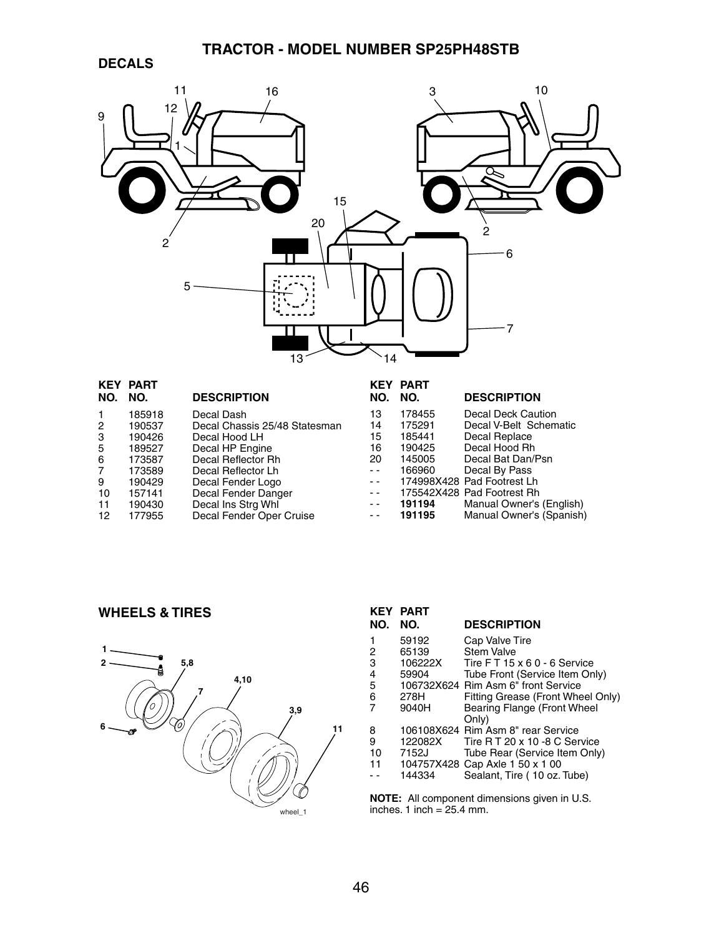# **TRACTOR - MODEL NUMBER SP25PH48STB**

### **DECALS**



|     | <b>KEY PART</b> |                               |               | <b>KEY PART</b> |                            |
|-----|-----------------|-------------------------------|---------------|-----------------|----------------------------|
| NO. | NO.             | <b>DESCRIPTION</b>            | NO.           | NO.             | <b>DESCRIPTION</b>         |
|     | 185918          | Decal Dash                    | 13            | 178455          | Decal Deck Caution         |
| 2   | 190537          | Decal Chassis 25/48 Statesman | 14            | 175291          | Decal V-Belt Schematic     |
| 3   | 190426          | Decal Hood LH                 | 15            | 185441          | Decal Replace              |
| 5   | 189527          | Decal HP Engine               | 16            | 190425          | Decal Hood Rh              |
| 6   | 173587          | Decal Reflector Rh            | 20            | 145005          | Decal Bat Dan/Psn          |
| 7   | 173589          | Decal Reflector Lh            | - -           | 166960          | Decal By Pass              |
| 9   | 190429          | Decal Fender Logo             | $ -$          |                 | 174998X428 Pad Footrest Lh |
| 10  | 157141          | Decal Fender Danger           | $ -$          |                 | 175542X428 Pad Footrest Rh |
| 11  | 190430          | Decal Ins Strg Whl            | $\sim$ $\sim$ | 191194          | Manual Owner's (English)   |
| 12  | 177955          | Decal Fender Oper Cruise      | $\sim$ $\sim$ | 191195          | Manual Owner's (Spanish)   |
|     |                 |                               |               |                 |                            |

### **WHEELS & TIRES**



| <b>KEY</b><br>NO. | <b>PART</b><br>NO. | <b>DESCRIPTION</b>                  |
|-------------------|--------------------|-------------------------------------|
|                   |                    |                                     |
| 1                 | 59192              | Cap Valve Tire                      |
| 2                 | 65139              | <b>Stem Valve</b>                   |
| 3                 | 106222X            | Tire FT 15 x 6 0 - 6 Service        |
| 4                 | 59904              | Tube Front (Service Item Only)      |
| 5                 |                    | 106732X624 Rim Asm 6" front Service |
| 6                 | 278H               | Fitting Grease (Front Wheel Only)   |
|                   | 9040H              | Bearing Flange (Front Wheel         |
|                   |                    | Only)                               |
| 8                 |                    | 106108X624 Rim Asm 8" rear Service  |
| 9                 | 122082X            | Tire R T 20 x 10 -8 C Service       |
| 10                | 7152J              | Tube Rear (Service Item Only)       |
| 11                |                    | 104757X428 Cap Axle 1 50 x 1 00     |
|                   | 144334             | Sealant, Tire (10 oz. Tube)         |
|                   |                    |                                     |

**NOTE:** All component dimensions given in U.S. inches. 1 inch = 25.4 mm.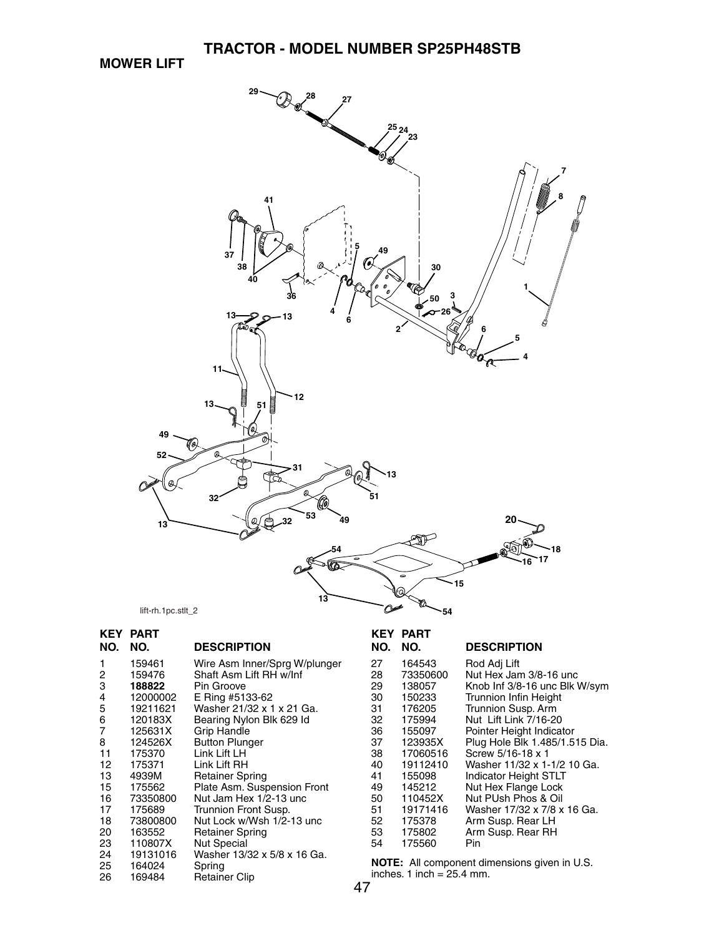**MOWER LIFT**



| NO.            | <b>KEY PART</b><br>NO.       | <b>DESCRIPTION</b>                                            | <b>KEY</b><br>NO.                                                                  | <b>PART</b><br>NO. | <b>DESCRIPTION</b>             |  |
|----------------|------------------------------|---------------------------------------------------------------|------------------------------------------------------------------------------------|--------------------|--------------------------------|--|
|                | 159461                       | Wire Asm Inner/Sprg W/plunger                                 | 27                                                                                 | 164543             | Rod Adj Lift                   |  |
| $\overline{c}$ | 159476                       | Shaft Asm Lift RH w/Inf                                       | 28                                                                                 | 73350600           | Nut Hex Jam 3/8-16 unc         |  |
| 3              | 188822                       | Pin Groove                                                    | 29                                                                                 | 138057             | Knob Inf 3/8-16 unc Blk W/sym  |  |
| 4              | 12000002                     | E Ring #5133-62                                               | 30                                                                                 | 150233             | <b>Trunnion Infin Height</b>   |  |
| $\mathbf 5$    | 19211621                     | Washer 21/32 x 1 x 21 Ga.                                     | 31                                                                                 | 176205             | Trunnion Susp. Arm             |  |
| 6              | 120183X                      | Bearing Nylon Blk 629 Id                                      | 32                                                                                 | 175994             | Nut Lift Link 7/16-20          |  |
| $\overline{7}$ | 125631X                      | Grip Handle                                                   | 36                                                                                 | 155097             | Pointer Height Indicator       |  |
| 8              | 124526X                      | <b>Button Plunger</b>                                         | 37                                                                                 | 123935X            | Plug Hole Blk 1.485/1.515 Dia. |  |
| 11             | 175370                       | Link Lift LH                                                  | 38                                                                                 | 17060516           | Screw 5/16-18 x 1              |  |
| 12             | 175371                       | Link Lift RH                                                  | 40                                                                                 | 19112410           | Washer 11/32 x 1-1/2 10 Ga.    |  |
| 13             | 4939M                        | <b>Retainer Spring</b>                                        | 41                                                                                 | 155098             | Indicator Height STLT          |  |
| 15             | 175562                       | Plate Asm. Suspension Front                                   | 49                                                                                 | 145212             | Nut Hex Flange Lock            |  |
| 16             | 73350800                     | Nut Jam Hex 1/2-13 unc                                        | 50                                                                                 | 110452X            | Nut PUsh Phos & Oil            |  |
| 17             | 175689                       | Trunnion Front Susp.                                          | 51                                                                                 | 19171416           | Washer 17/32 x 7/8 x 16 Ga.    |  |
| 18             | 73800800                     | Nut Lock w/Wsh 1/2-13 unc                                     | 52                                                                                 | 175378             | Arm Susp. Rear LH              |  |
| 20             | 163552                       | <b>Retainer Spring</b>                                        | 53                                                                                 | 175802             | Arm Susp. Rear RH              |  |
| 23             | 110807X                      | <b>Nut Special</b>                                            | 54                                                                                 | 175560             | Pin.                           |  |
| 24<br>25<br>26 | 19131016<br>164024<br>169484 | Washer 13/32 x 5/8 x 16 Ga.<br>Spring<br><b>Retainer Clip</b> | <b>NOTE:</b> All component dimensions given in U.S.<br>inches. 1 inch = $25.4$ mm. |                    |                                |  |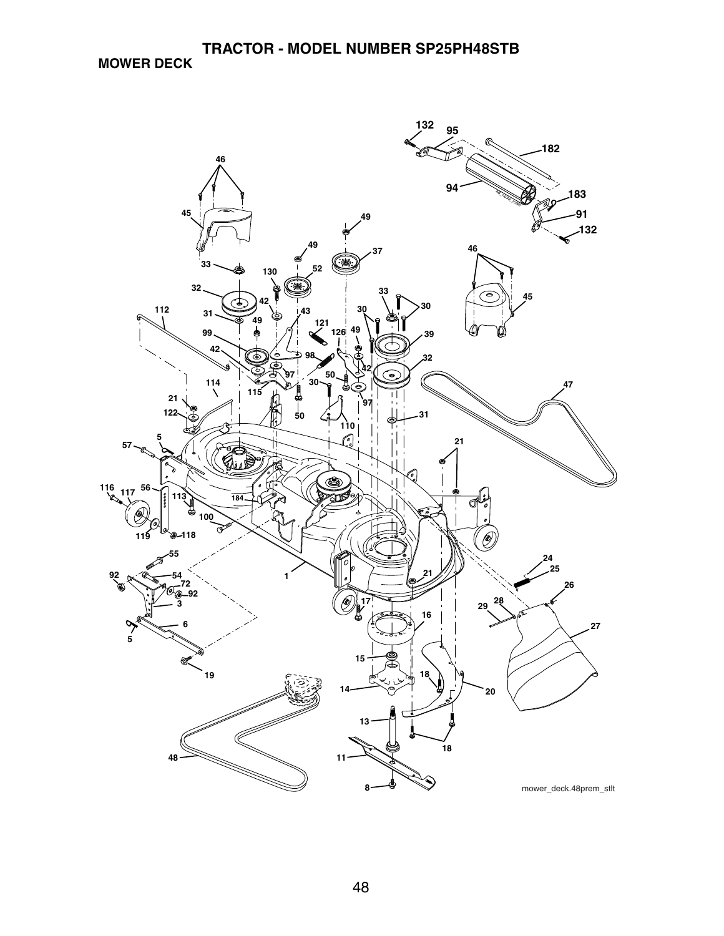**MOWER DECK**